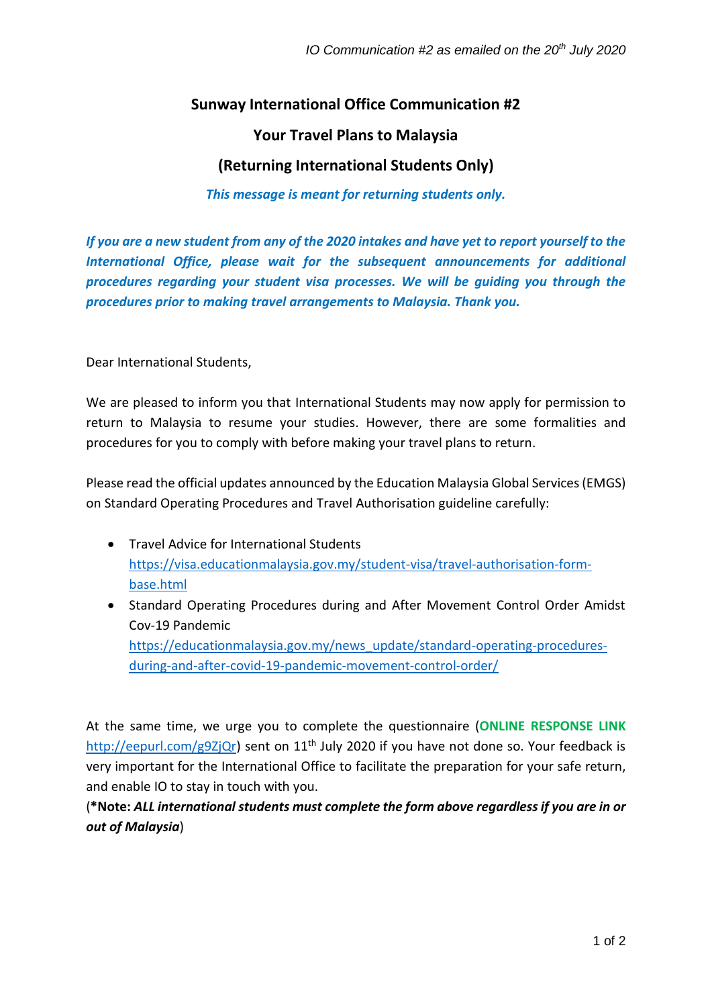## **Sunway International Office Communication #2**

### **Your Travel Plans to Malaysia**

# **(Returning International Students Only)**

#### *This message is meant for returning students only.*

*If you are a new student from any of the 2020 intakes and have yet to report yourself to the International Office, please wait for the subsequent announcements for additional procedures regarding your student visa processes. We will be guiding you through the procedures prior to making travel arrangements to Malaysia. Thank you.*

Dear International Students,

We are pleased to inform you that International Students may now apply for permission to return to Malaysia to resume your studies. However, there are some formalities and procedures for you to comply with before making your travel plans to return.

Please read the official updates announced by the Education Malaysia Global Services (EMGS) on Standard Operating Procedures and Travel Authorisation guideline carefully:

- Travel Advice for International Students [https://visa.educationmalaysia.gov.my/student-visa/travel-authorisation-form](https://visa.educationmalaysia.gov.my/student-visa/travel-authorisation-form-base.html)[base.html](https://visa.educationmalaysia.gov.my/student-visa/travel-authorisation-form-base.html)
- Standard Operating Procedures during and After Movement Control Order Amidst Cov-19 Pandemic [https://educationmalaysia.gov.my/news\\_update/standard-operating-procedures](https://educationmalaysia.gov.my/news_update/standard-operating-procedures-during-and-after-covid-19-pandemic-movement-control-order/)[during-and-after-covid-19-pandemic-movement-control-order/](https://educationmalaysia.gov.my/news_update/standard-operating-procedures-during-and-after-covid-19-pandemic-movement-control-order/)

At the same time, we urge you to complete the questionnaire (**ONLINE RESPONSE LINK** [http://eepurl.com/g9ZjQr\)](http://eepurl.com/g9ZjQr) sent on 11<sup>th</sup> July 2020 if you have not done so. Your feedback is very important for the International Office to facilitate the preparation for your safe return, and enable IO to stay in touch with you.

(**\*Note:** *ALL international students must complete the form above regardless if you are in or out of Malaysia*)